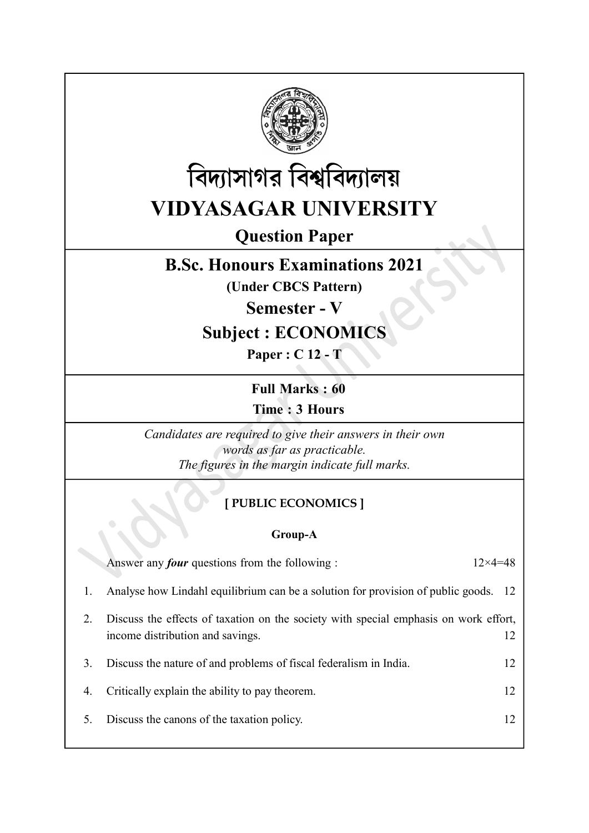



# Question Paper

## B.Sc. Honours Examinations 2021

(Under CBCS Pattern)

Semester - V

## Subject : ECONOMICS

Paper : C 12 - T

Full Marks : 60 Time : 3 Hours

Candidates are required to give their answers in their own words as far as practicable. The figures in the margin indicate full marks.

## [ PUBLIC ECONOMICS ]

### Group-A

|    | Answer any <i>four</i> questions from the following :                                                                    | $12\times 4=48$ |
|----|--------------------------------------------------------------------------------------------------------------------------|-----------------|
| 1. | Analyse how Lindahl equilibrium can be a solution for provision of public goods. 12                                      |                 |
| 2. | Discuss the effects of taxation on the society with special emphasis on work effort,<br>income distribution and savings. | 12              |
| 3. | Discuss the nature of and problems of fiscal federalism in India.                                                        | 12              |
| 4. | Critically explain the ability to pay theorem.                                                                           | 12              |
| 5. | Discuss the canons of the taxation policy.                                                                               | 12              |